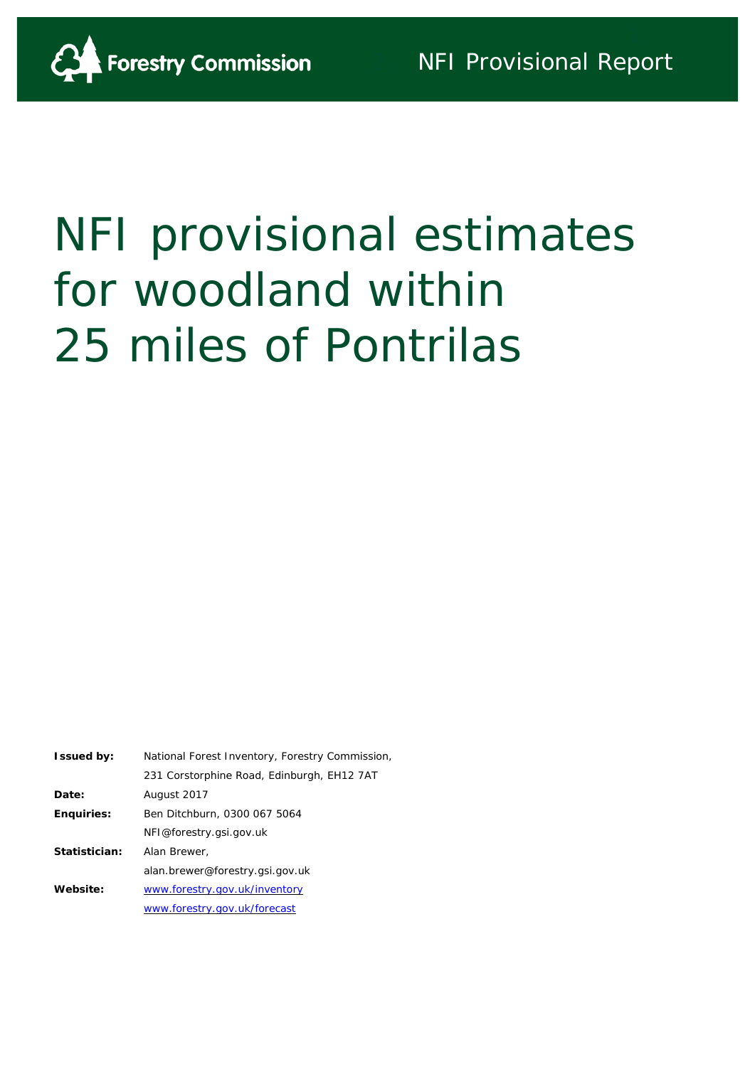

# NFI provisional estimates for woodland within 25 miles of Pontrilas

| <b>Issued by:</b> | National Forest Inventory, Forestry Commission, |
|-------------------|-------------------------------------------------|
|                   | 231 Corstorphine Road, Edinburgh, EH12 7AT      |
| Date:             | August 2017                                     |
| <b>Enquiries:</b> | Ben Ditchburn, 0300 067 5064                    |
|                   | NFI@forestry.gsi.gov.uk                         |
| Statistician:     | Alan Brewer,                                    |
|                   | alan.brewer@forestry.gsi.gov.uk                 |
| Website:          | www.forestry.gov.uk/inventory                   |
|                   | www.forestry.gov.uk/forecast                    |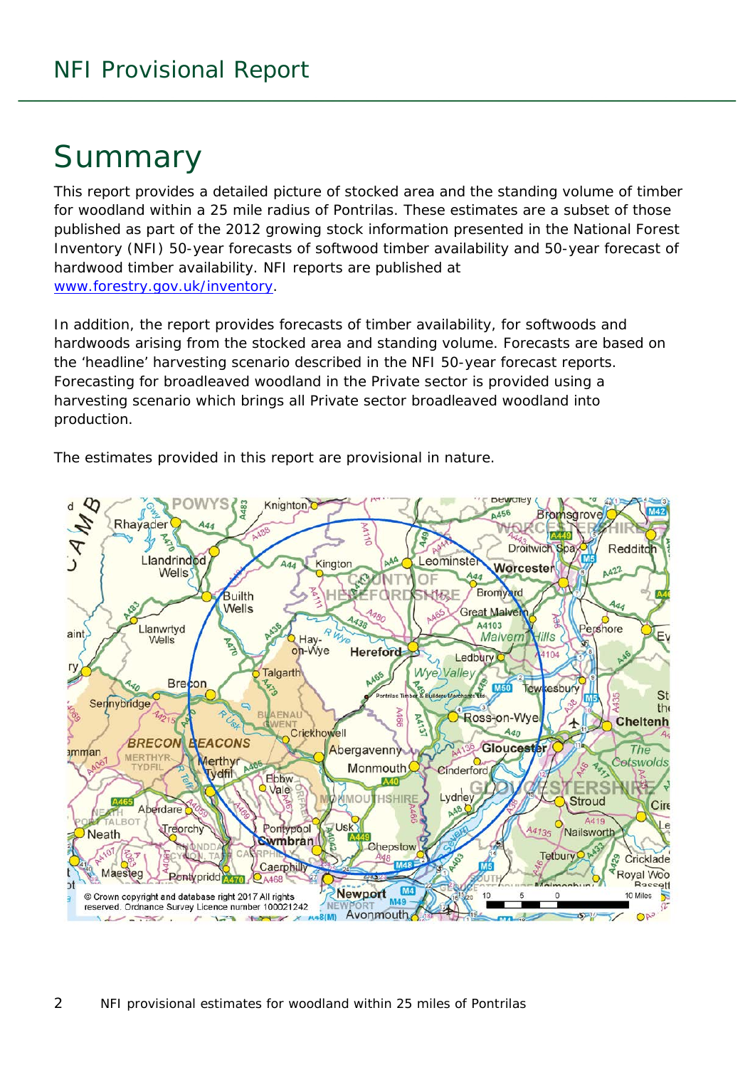# Summary

This report provides a detailed picture of stocked area and the standing volume of timber for woodland within a 25 mile radius of Pontrilas. These estimates are a subset of those published as part of the 2012 growing stock information presented in the National Forest Inventory (NFI) *50-year forecasts of softwood timber availability* and *50-year forecast of hardwood timber availability*. NFI reports are published at [www.forestry.gov.uk/inventory.](http://www.forestry.gov.uk/inventory)

In addition, the report provides forecasts of timber availability, for softwoods and hardwoods arising from the stocked area and standing volume. Forecasts are based on the 'headline' harvesting scenario described in the NFI 50-year forecast reports. Forecasting for broadleaved woodland in the Private sector is provided using a harvesting scenario which brings all Private sector broadleaved woodland into production.

The estimates provided in this report are provisional in nature.

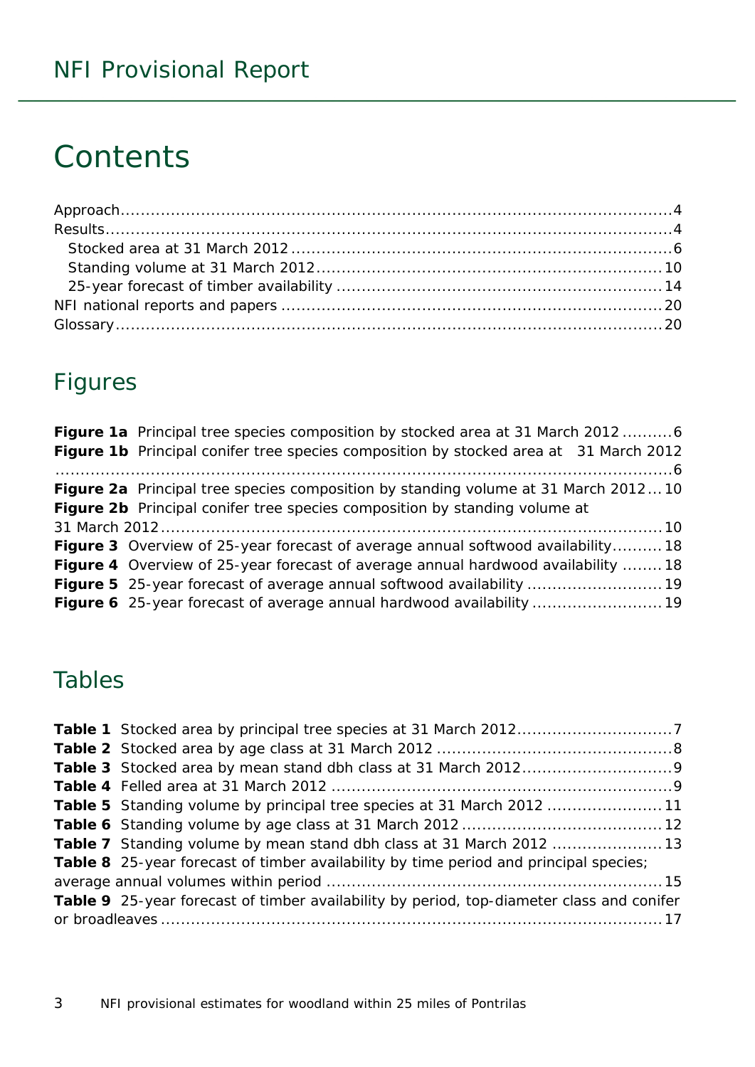# **Contents**

## Figures

| Figure 1a Principal tree species composition by stocked area at 31 March 2012 6         |
|-----------------------------------------------------------------------------------------|
| Figure 1b Principal conifer tree species composition by stocked area at 31 March 2012   |
|                                                                                         |
| Figure 2a Principal tree species composition by standing volume at 31 March 201210      |
| Figure 2b Principal conifer tree species composition by standing volume at              |
|                                                                                         |
| <b>Figure 3</b> Overview of 25-year forecast of average annual softwood availability18  |
| <b>Figure 4</b> Overview of 25-year forecast of average annual hardwood availability 18 |
|                                                                                         |
| Figure 6 25-year forecast of average annual hardwood availability  19                   |

### Tables

| Table 5 Standing volume by principal tree species at 31 March 2012 11                        |  |
|----------------------------------------------------------------------------------------------|--|
|                                                                                              |  |
|                                                                                              |  |
| <b>Table 8</b> 25-year forecast of timber availability by time period and principal species; |  |
|                                                                                              |  |
| Table 9 25-year forecast of timber availability by period, top-diameter class and conifer    |  |
|                                                                                              |  |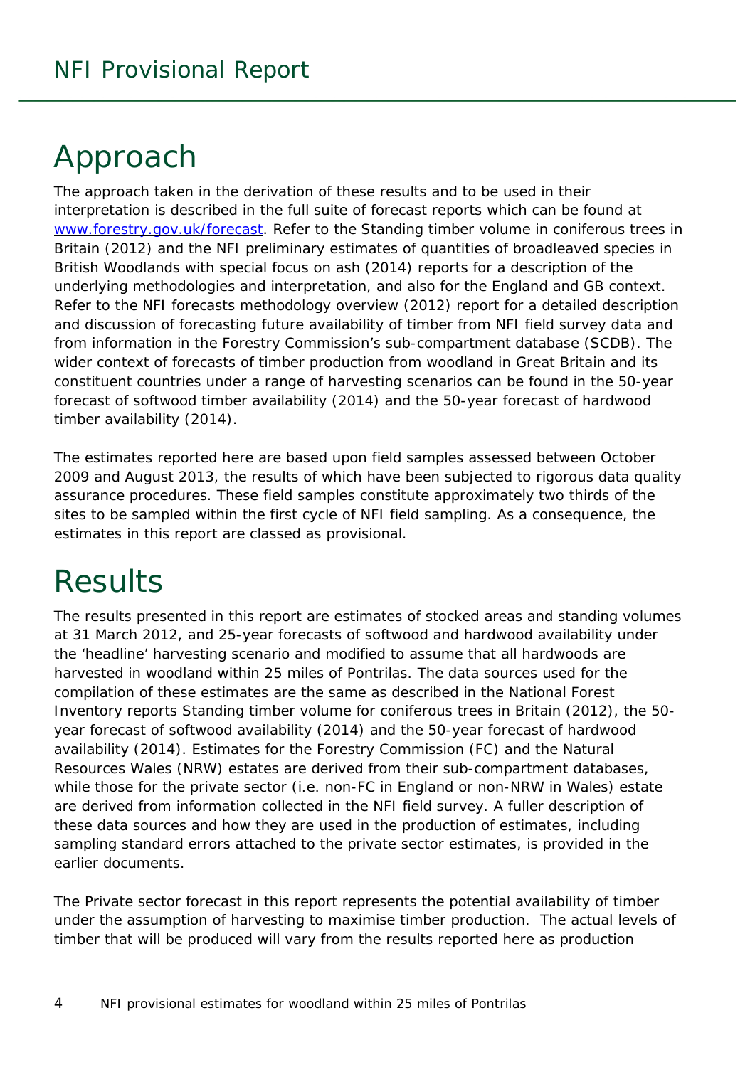# <span id="page-3-0"></span>Approach

The approach taken in the derivation of these results and to be used in their interpretation is described in the full suite of forecast reports which can be found at [www.forestry.gov.uk/forecast.](http://www.forestry.gov.uk/forecast) Refer to the *Standing timber volume in coniferous trees in Britain* (2012) and the *NFI preliminary estimates of quantities of broadleaved species in British Woodlands with special focus on ash* (2014) reports for a description of the underlying methodologies and interpretation, and also for the England and GB context. Refer to the *NFI forecasts methodology overview* (2012) report for a detailed description and discussion of forecasting future availability of timber from NFI field survey data and from information in the Forestry Commission's sub-compartment database (SCDB). The wider context of forecasts of timber production from woodland in Great Britain and its constituent countries under a range of harvesting scenarios can be found in the *50-year forecast of softwood timber availability* (2014) and the *50-year forecast of hardwood timber availability* (2014).

The estimates reported here are based upon field samples assessed between October 2009 and August 2013, the results of which have been subjected to rigorous data quality assurance procedures. These field samples constitute approximately two thirds of the sites to be sampled within the first cycle of NFI field sampling. As a consequence, the estimates in this report are classed as provisional.

# <span id="page-3-1"></span>**Results**

The results presented in this report are estimates of stocked areas and standing volumes at 31 March 2012, and 25-year forecasts of softwood and hardwood availability under the 'headline' harvesting scenario and modified to assume that all hardwoods are harvested in woodland within 25 miles of Pontrilas. The data sources used for the compilation of these estimates are the same as described in the National Forest Inventory reports *Standing timber volume for coniferous trees in Britain* (2012), the *50 year forecast of softwood availability* (2014) and the *50-year forecast of hardwood availability* (2014). Estimates for the Forestry Commission (FC) and the Natural Resources Wales (NRW) estates are derived from their sub-compartment databases, while those for the private sector (i.e. non-FC in England or non-NRW in Wales) estate are derived from information collected in the NFI field survey. A fuller description of these data sources and how they are used in the production of estimates, including sampling standard errors attached to the private sector estimates, is provided in the earlier documents.

The Private sector forecast in this report represents the potential availability of timber under the assumption of harvesting to maximise timber production. The actual levels of timber that will be produced will vary from the results reported here as production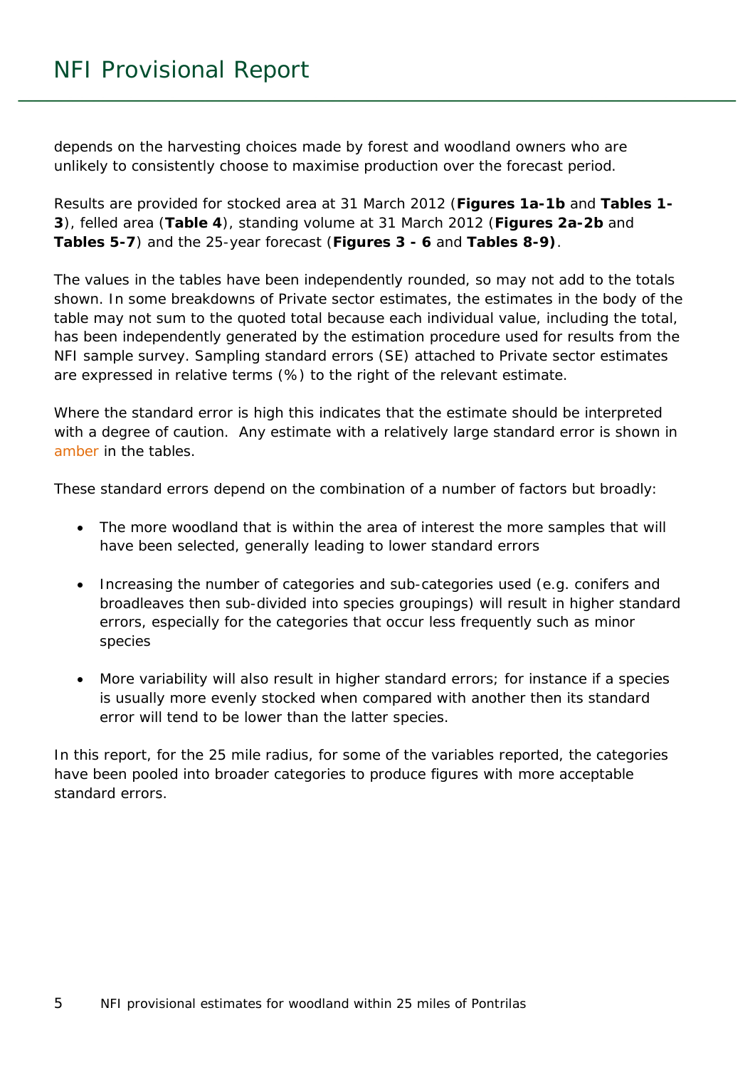depends on the harvesting choices made by forest and woodland owners who are unlikely to consistently choose to maximise production over the forecast period.

Results are provided for stocked area at 31 March 2012 (**Figures 1a-1b** and **Tables 1- 3**), felled area (**Table 4**), standing volume at 31 March 2012 (**Figures 2a-2b** and **Tables 5-7**) and the 25-year forecast (**Figures 3 - 6** and **Tables 8-9)**.

The values in the tables have been independently rounded, so may not add to the totals shown. In some breakdowns of Private sector estimates, the estimates in the body of the table may not sum to the quoted total because each individual value, including the total, has been independently generated by the estimation procedure used for results from the NFI sample survey. Sampling standard errors (SE) attached to Private sector estimates are expressed in relative terms (%) to the right of the relevant estimate.

Where the standard error is high this indicates that the estimate should be interpreted with a degree of caution. Any estimate with a relatively large standard error is shown in amber in the tables.

These standard errors depend on the combination of a number of factors but broadly:

- The more woodland that is within the area of interest the more samples that will have been selected, generally leading to lower standard errors
- Increasing the number of categories and sub-categories used (e.g. conifers and broadleaves then sub-divided into species groupings) will result in higher standard errors, especially for the categories that occur less frequently such as minor species
- More variability will also result in higher standard errors; for instance if a species is usually more evenly stocked when compared with another then its standard error will tend to be lower than the latter species.

In this report, for the 25 mile radius, for some of the variables reported, the categories have been pooled into broader categories to produce figures with more acceptable standard errors.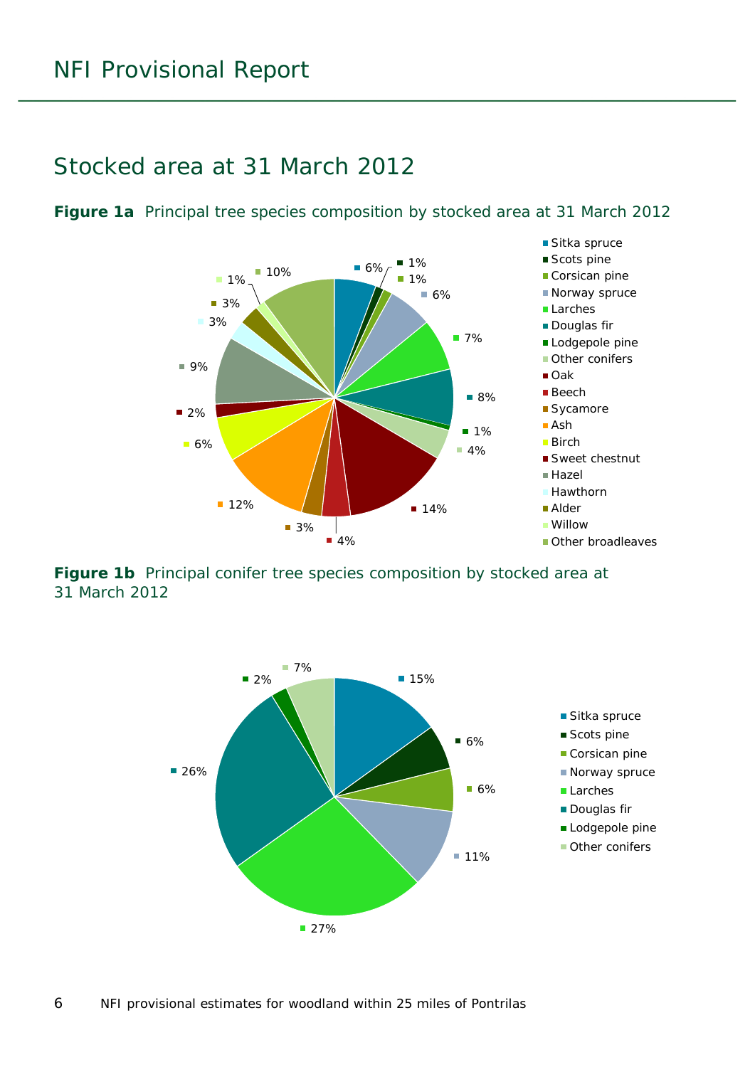### <span id="page-5-0"></span>Stocked area at 31 March 2012

<span id="page-5-1"></span>



<span id="page-5-2"></span>**Figure 1b** Principal conifer tree species composition by stocked area at 31 March 2012

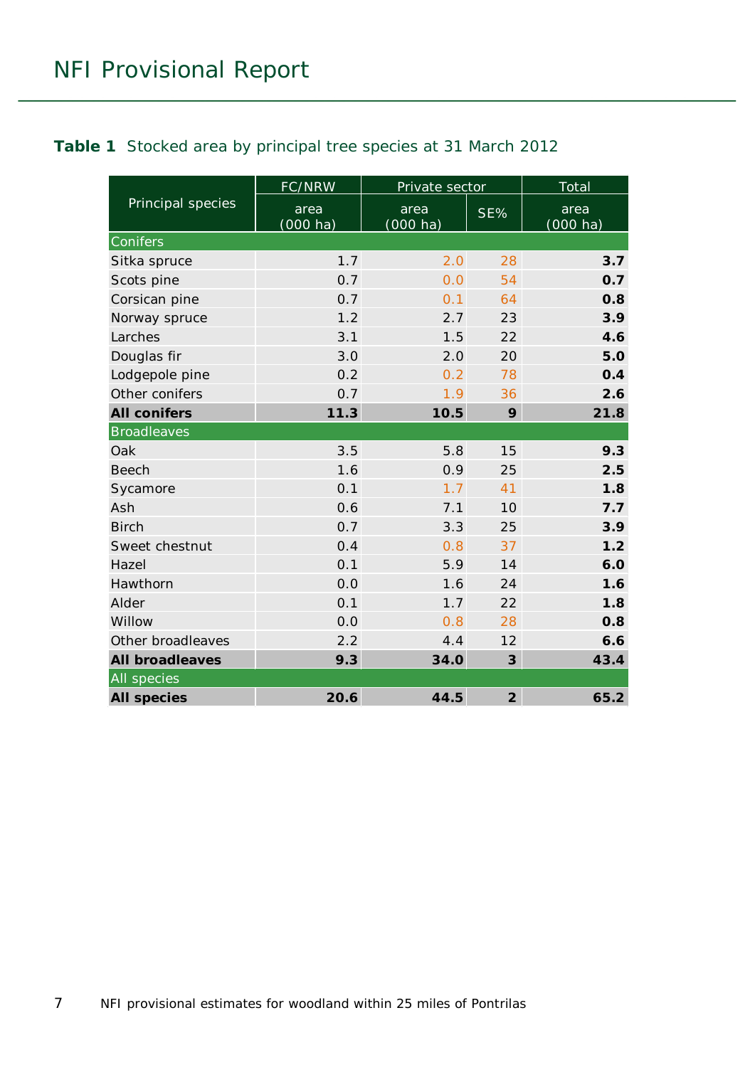#### <span id="page-6-0"></span>**Table 1** Stocked area by principal tree species at 31 March 2012

|                        | FC/NRW              | Private sector             |                         | <b>Total</b>        |  |
|------------------------|---------------------|----------------------------|-------------------------|---------------------|--|
| Principal species      | area<br>$(000)$ ha) | area<br>$(000 \text{ ha})$ | $SE\%$                  | area<br>$(000)$ ha) |  |
| Conifers               |                     |                            |                         |                     |  |
| Sitka spruce           | 1.7                 | 2.0                        | 28                      | 3.7                 |  |
| Scots pine             | 0.7                 | 0.0                        | 54                      | 0.7                 |  |
| Corsican pine          | 0.7                 | 0.1                        | 64                      | 0.8                 |  |
| Norway spruce          | 1.2                 | 2.7                        | 23                      | 3.9                 |  |
| Larches                | 3.1                 | 1.5                        | 22                      | 4.6                 |  |
| Douglas fir            | 3.0                 | 2.0                        | 20                      | 5.0                 |  |
| Lodgepole pine         | 0.2                 | 0.2                        | 78                      | 0.4                 |  |
| Other conifers         | 0.7                 | 1.9                        | 36                      | 2.6                 |  |
| <b>All conifers</b>    | 11.3                | 10.5                       | 9                       | 21.8                |  |
| <b>Broadleaves</b>     |                     |                            |                         |                     |  |
| Oak                    | 3.5                 | 5.8                        | 15                      | 9.3                 |  |
| <b>Beech</b>           | 1.6                 | 0.9                        | 25                      | 2.5                 |  |
| Sycamore               | 0.1                 | 1.7                        | 41                      | 1.8                 |  |
| Ash                    | 0.6                 | 7.1                        | 10                      | 7.7                 |  |
| <b>Birch</b>           | 0.7                 | 3.3                        | 25                      | 3.9                 |  |
| Sweet chestnut         | 0.4                 | 0.8                        | 37                      | 1.2                 |  |
| Hazel                  | 0.1                 | 5.9                        | 14                      | 6.0                 |  |
| Hawthorn               | 0.0                 | 1.6                        | 24                      | 1.6                 |  |
| Alder                  | 0.1                 | 1.7                        | 22                      | 1.8                 |  |
| Willow                 | 0.0                 | 0.8                        | 28                      | 0.8                 |  |
| Other broadleaves      | 2.2                 | 4.4                        | 12                      | 6.6                 |  |
| <b>All broadleaves</b> | 9.3                 | 34.0                       | $\overline{\mathbf{3}}$ | 43.4                |  |
| All species            |                     |                            |                         |                     |  |
| <b>All species</b>     | 20.6                | 44.5                       | $\overline{2}$          | 65.2                |  |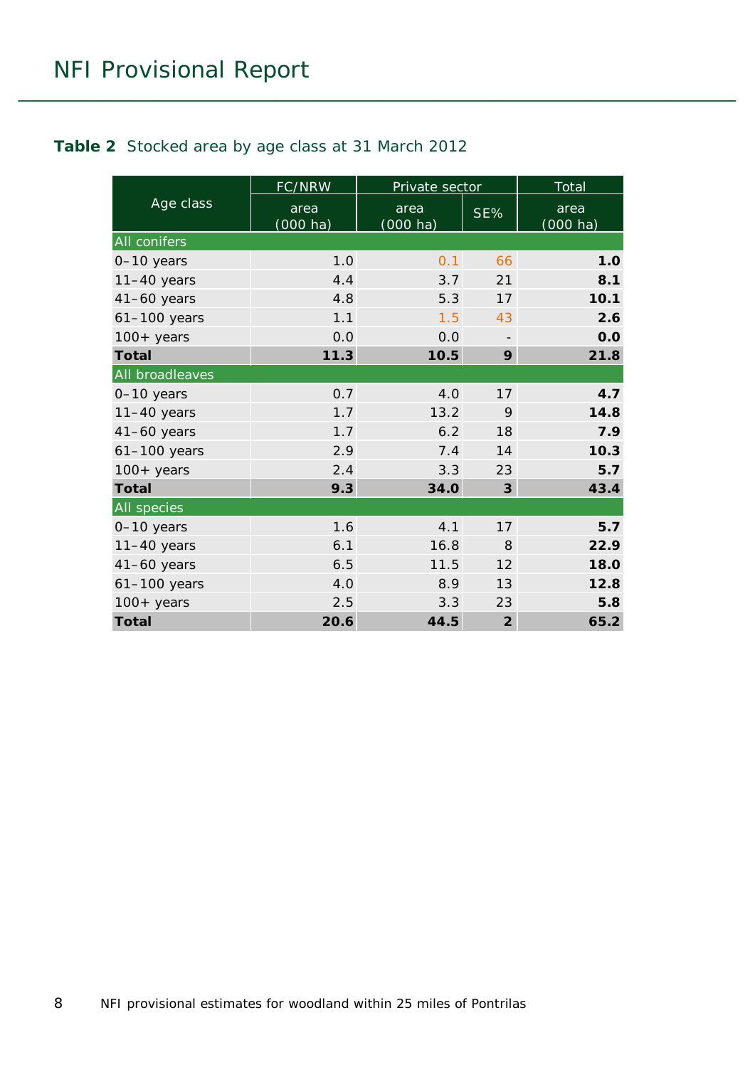#### <span id="page-7-0"></span>**Table 2** Stocked area by age class at 31 March 2012

|                 | FC/NRW                     | Private sector      | Total          |                            |  |
|-----------------|----------------------------|---------------------|----------------|----------------------------|--|
| Age class       | area<br>$(000 \text{ ha})$ | area<br>$(000)$ ha) | SE%            | area<br>$(000 \text{ ha})$ |  |
| All conifers    |                            |                     |                |                            |  |
| 0-10 years      | 1.0                        | 0.1                 | 66             | 1.0                        |  |
| $11-40$ years   | 4.4                        | 3.7                 | 21             | 8.1                        |  |
| $41-60$ years   | 4.8                        | 5.3                 | 17             | 10.1                       |  |
| $61-100$ years  | 1.1                        | 1.5                 | 43             | 2.6                        |  |
| $100+$ years    | 0.0                        | 0.0                 |                | 0.0                        |  |
| <b>Total</b>    | 11.3                       | 10.5                | 9              | 21.8                       |  |
| All broadleaves |                            |                     |                |                            |  |
| 0-10 years      | 0.7                        | 4.0                 | 17             | 4.7                        |  |
| $11-40$ years   | 1.7                        | 13.2                | 9              | 14.8                       |  |
| $41-60$ years   | 1.7                        | 6.2                 | 18             | 7.9                        |  |
| 61-100 years    | 2.9                        | 7.4                 | 14             | 10.3                       |  |
| $100+$ years    | 2.4                        | 3.3                 | 23             | 5.7                        |  |
| <b>Total</b>    | 9.3                        | 34.0                | 3              | 43.4                       |  |
| All species     |                            |                     |                |                            |  |
| 0-10 years      | 1.6                        | 4.1                 | 17             | 5.7                        |  |
| $11-40$ years   | 6.1                        | 16.8                | 8              | 22.9                       |  |
| $41-60$ years   | 6.5                        | 11.5                | 12             | 18.0                       |  |
| $61-100$ years  | 4.0                        | 8.9                 | 13             | 12.8                       |  |
| $100 + years$   | 2.5                        | 3.3                 | 23             | 5.8                        |  |
| <b>Total</b>    | 20.6                       | 44.5                | $\overline{2}$ | 65.2                       |  |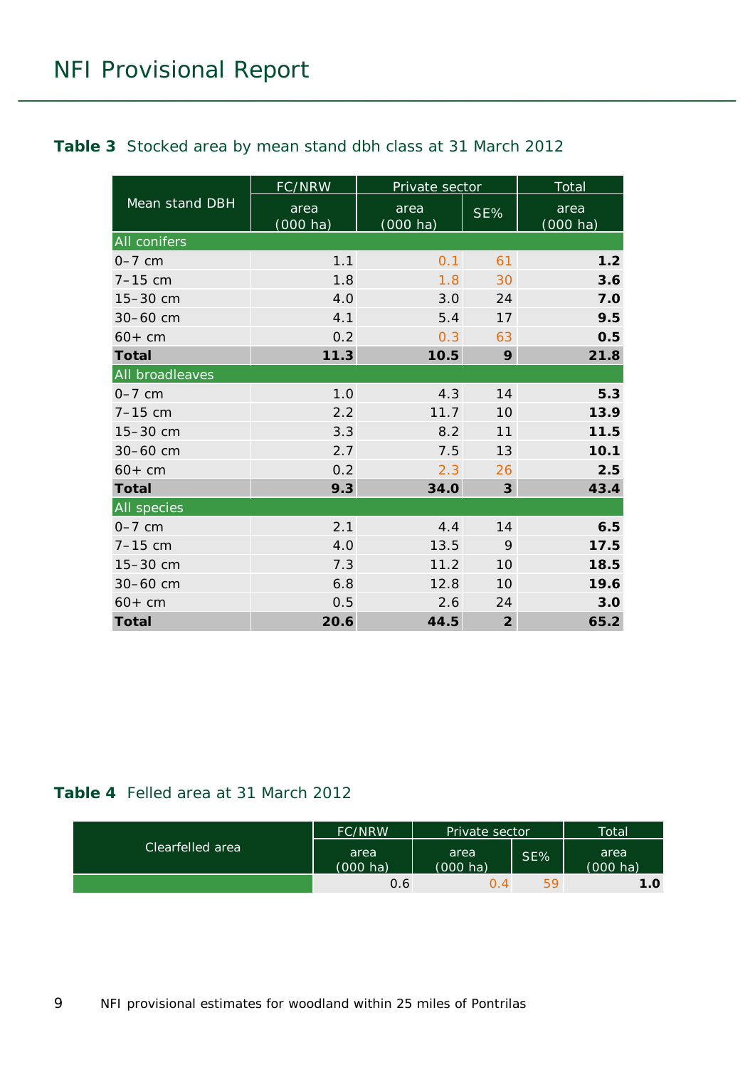#### <span id="page-8-0"></span>**Table 3** Stocked area by mean stand dbh class at 31 March 2012

|                     | FC/NRW                     | Private sector   |                | <b>Total</b>        |  |
|---------------------|----------------------------|------------------|----------------|---------------------|--|
| Mean stand DBH      | area<br>$(000 \text{ ha})$ | area<br>(000 ha) | SE%            | area<br>$(000)$ ha) |  |
| <b>All conifers</b> |                            |                  |                |                     |  |
| $0-7$ cm            | 1.1                        | 0.1              | 61             | 1.2                 |  |
| $7 - 15$ cm         | 1.8                        | 1.8              | 30             | 3.6                 |  |
| 15-30 cm            | 4.0                        | 3.0              | 24             | 7.0                 |  |
| 30-60 cm            | 4.1                        | 5.4              | 17             | 9.5                 |  |
| $60+cm$             | 0.2                        | 0.3              | 63             | 0.5                 |  |
| <b>Total</b>        | 11.3                       | 10.5             | 9              | 21.8                |  |
| All broadleaves     |                            |                  |                |                     |  |
| $0-7$ cm            | 1.0                        | 4.3              | 14             | 5.3                 |  |
| $7 - 15$ cm         | 2.2                        | 11.7             | 10             | 13.9                |  |
| 15-30 cm            | 3.3                        | 8.2              | 11             | 11.5                |  |
| 30-60 cm            | 2.7                        | 7.5              | 13             | 10.1                |  |
| $60+cm$             | 0.2                        | 2.3              | 26             | 2.5                 |  |
| <b>Total</b>        | 9.3                        | 34.0             | 3              | 43.4                |  |
| <b>All species</b>  |                            |                  |                |                     |  |
| $0-7$ cm            | 2.1                        | 4.4              | 14             | 6.5                 |  |
| $7-15$ cm           | 4.0                        | 13.5             | 9              | 17.5                |  |
| 15-30 cm            | 7.3                        | 11.2             | 10             | 18.5                |  |
| 30-60 cm            | 6.8                        | 12.8             | 10             | 19.6                |  |
| $60+cm$             | 0.5                        | 2.6              | 24             | 3.0                 |  |
| <b>Total</b>        | 20.6                       | 44.5             | $\overline{2}$ | 65.2                |  |

#### <span id="page-8-1"></span>**Table 4** Felled area at 31 March 2012

|                    | <b>FC/NRW</b>              | Private sector             |     | Total                      |
|--------------------|----------------------------|----------------------------|-----|----------------------------|
| Clearfelled area ' | area<br>$(000 \text{ ha})$ | area<br>$(000 \text{ ha})$ | SE% | area<br>$(000 \text{ ha})$ |
|                    | 0.6                        | $\Omega$ 4                 | 59  | 1.0                        |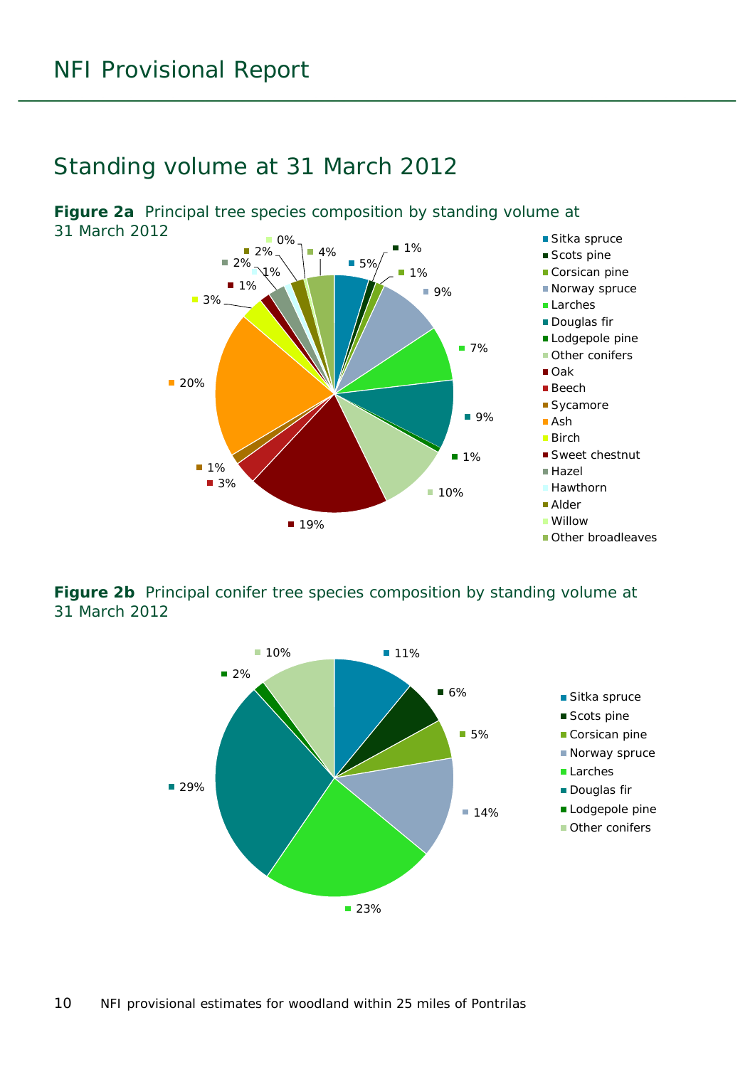### <span id="page-9-0"></span>Standing volume at 31 March 2012



<span id="page-9-1"></span>**Figure 2a** Principal tree species composition by standing volume at 31 March 2012

<span id="page-9-2"></span>**Figure 2b** Principal conifer tree species composition by standing volume at 31 March 2012

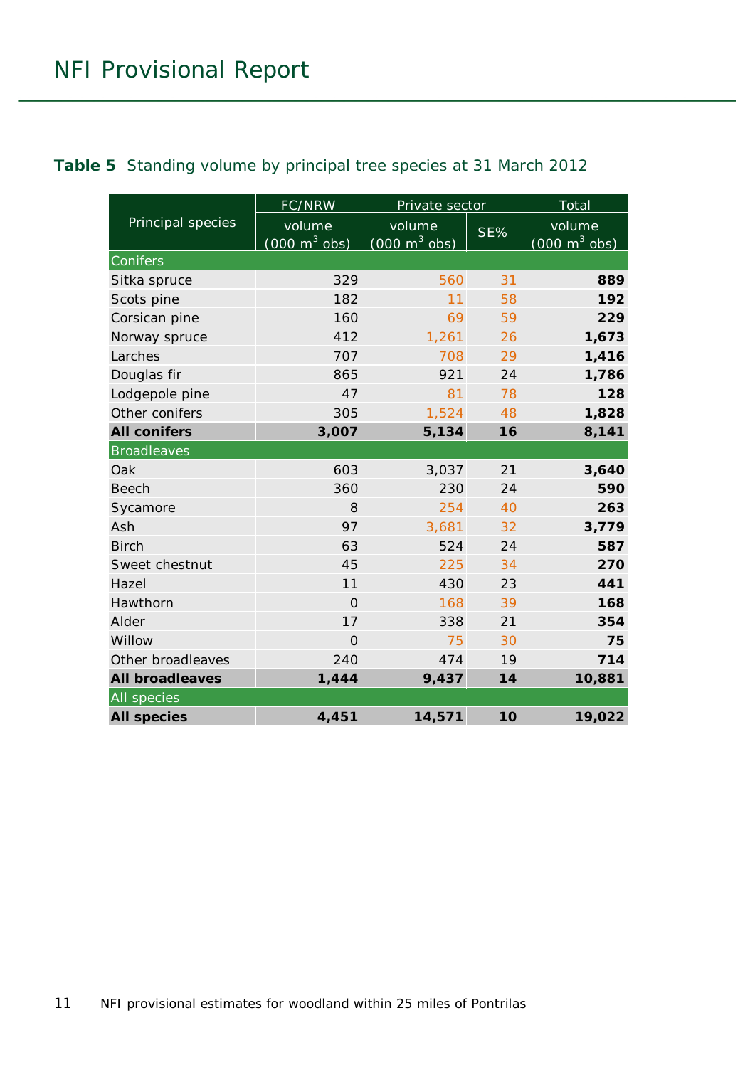#### <span id="page-10-0"></span>**Table 5** Standing volume by principal tree species at 31 March 2012

|                        | FC/NRW                          | Private sector                  |     | Total                           |  |
|------------------------|---------------------------------|---------------------------------|-----|---------------------------------|--|
| Principal species      | volume                          | volume                          | SE% | volume                          |  |
|                        | $(000 \text{ m}^3 \text{ obs})$ | $(000 \text{ m}^3 \text{ obs})$ |     | $(000 \text{ m}^3 \text{ obs})$ |  |
| Conifers               |                                 |                                 |     |                                 |  |
| Sitka spruce           | 329                             | 560                             | 31  | 889                             |  |
| Scots pine             | 182                             | 11                              | 58  | 192                             |  |
| Corsican pine          | 160                             | 69                              | 59  | 229                             |  |
| Norway spruce          | 412                             | 1,261                           | 26  | 1,673                           |  |
| Larches                | 707                             | 708                             | 29  | 1,416                           |  |
| Douglas fir            | 865                             | 921                             | 24  | 1,786                           |  |
| Lodgepole pine         | 47                              | 81                              | 78  | 128                             |  |
| Other conifers         | 305                             | 1,524                           | 48  | 1,828                           |  |
| <b>All conifers</b>    | 3,007                           | 5,134                           | 16  | 8,141                           |  |
| <b>Broadleaves</b>     |                                 |                                 |     |                                 |  |
| Oak                    | 603                             | 3,037                           | 21  | 3,640                           |  |
| <b>Beech</b>           | 360                             | 230                             | 24  | 590                             |  |
| Sycamore               | 8                               | 254                             | 40  | 263                             |  |
| Ash                    | 97                              | 3,681                           | 32  | 3,779                           |  |
| <b>Birch</b>           | 63                              | 524                             | 24  | 587                             |  |
| Sweet chestnut         | 45                              | 225                             | 34  | 270                             |  |
| Hazel                  | 11                              | 430                             | 23  | 441                             |  |
| Hawthorn               | $\overline{O}$                  | 168                             | 39  | 168                             |  |
| Alder                  | 17                              | 338                             | 21  | 354                             |  |
| Willow                 | $\overline{O}$                  | 75                              | 30  | 75                              |  |
| Other broadleaves      | 240                             | 474                             | 19  | 714                             |  |
| <b>All broadleaves</b> | 1,444                           | 9,437                           | 14  | 10,881                          |  |
| <b>All</b> species     |                                 |                                 |     |                                 |  |
| <b>All species</b>     | 4,451                           | 14,571                          | 10  | 19,022                          |  |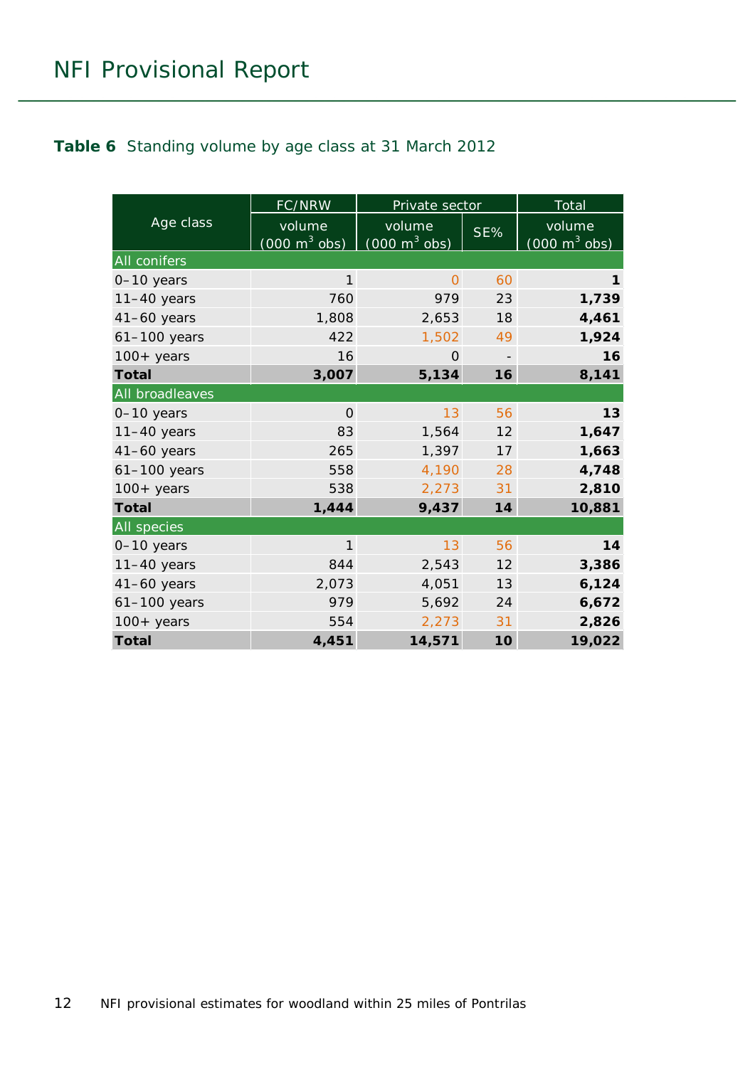#### <span id="page-11-0"></span>**Table 6** Standing volume by age class at 31 March 2012

|                 | FC/NRW                                    | Private sector                            |     | Total                                     |  |
|-----------------|-------------------------------------------|-------------------------------------------|-----|-------------------------------------------|--|
| Age class       | volume<br>$(000 \text{ m}^3 \text{ obs})$ | volume<br>$(000 \text{ m}^3 \text{ obs})$ | SE% | volume<br>$(000 \text{ m}^3 \text{ obs})$ |  |
| All conifers    |                                           |                                           |     |                                           |  |
| 0-10 years      | $\mathbf{1}$                              | $\overline{O}$                            | 60  | 1                                         |  |
| $11-40$ years   | 760                                       | 979                                       | 23  | 1,739                                     |  |
| $41-60$ years   | 1,808                                     | 2,653                                     | 18  | 4,461                                     |  |
| 61-100 years    | 422                                       | 1,502                                     | 49  | 1,924                                     |  |
| $100+$ years    | 16                                        | $\Omega$                                  |     | 16                                        |  |
| <b>Total</b>    | 3,007                                     | 5,134                                     | 16  | 8,141                                     |  |
| All broadleaves |                                           |                                           |     |                                           |  |
| 0-10 years      | $\overline{O}$                            | 13                                        | 56  | 13                                        |  |
| $11-40$ years   | 83                                        | 1,564                                     | 12  | 1,647                                     |  |
| $41-60$ years   | 265                                       | 1,397                                     | 17  | 1,663                                     |  |
| $61-100$ years  | 558                                       | 4,190                                     | 28  | 4,748                                     |  |
| $100+$ years    | 538                                       | 2,273                                     | 31  | 2,810                                     |  |
| <b>Total</b>    | 1,444                                     | 9,437                                     | 14  | 10,881                                    |  |
| All species     |                                           |                                           |     |                                           |  |
| 0-10 years      | $\mathbf{1}$                              | 13                                        | 56  | 14                                        |  |
| $11-40$ years   | 844                                       | 2,543                                     | 12  | 3,386                                     |  |
| $41-60$ years   | 2,073                                     | 4,051                                     | 13  | 6,124                                     |  |
| $61-100$ years  | 979                                       | 5,692                                     | 24  | 6,672                                     |  |
| $100+$ years    | 554                                       | 2,273                                     | 31  | 2,826                                     |  |
| <b>Total</b>    | 4,451                                     | 14,571                                    | 10  | 19,022                                    |  |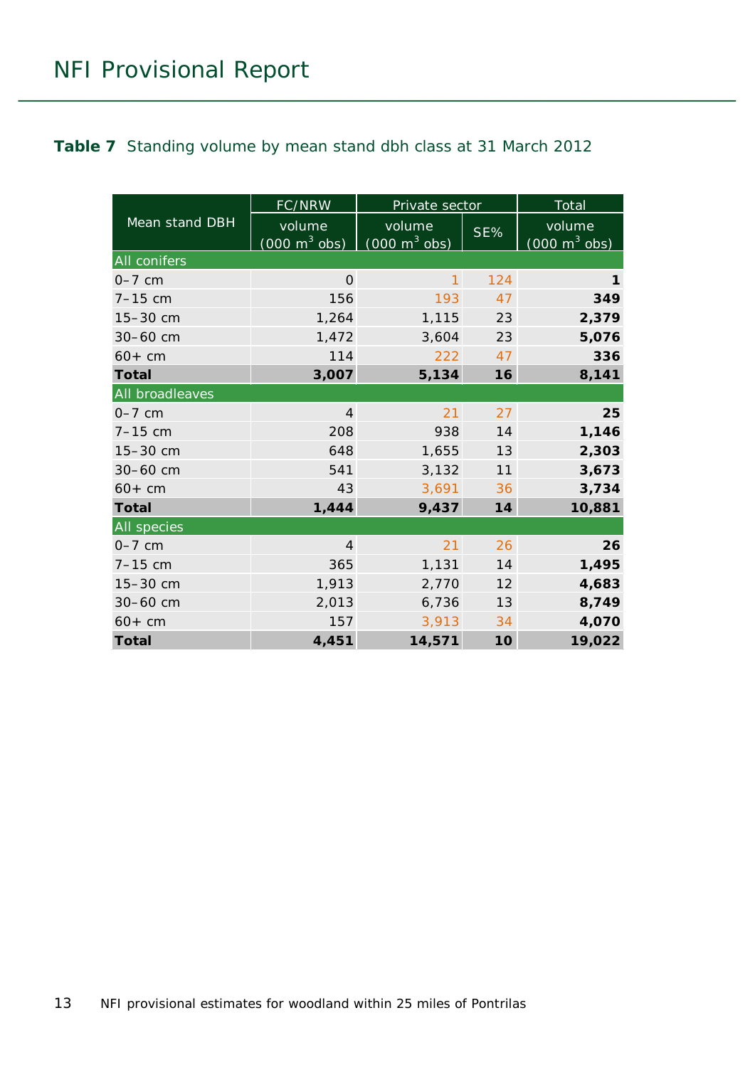#### <span id="page-12-0"></span>**Table 7** Standing volume by mean stand dbh class at 31 March 2012

|                 | FC/NRW                                    | Private sector                            |     | Total                                         |  |
|-----------------|-------------------------------------------|-------------------------------------------|-----|-----------------------------------------------|--|
| Mean stand DBH  | volume<br>$(000 \text{ m}^3 \text{ obs})$ | volume<br>$(000 \text{ m}^3 \text{ obs})$ | SE% | volume<br>$(000 \; \text{m}^3 \; \text{obs})$ |  |
| All conifers    |                                           |                                           |     |                                               |  |
| $0-7$ cm        | $\mathbf{O}$                              | 1                                         | 124 | 1                                             |  |
| $7 - 15$ cm     | 156                                       | 193                                       | 47  | 349                                           |  |
| 15-30 cm        | 1,264                                     | 1,115                                     | 23  | 2,379                                         |  |
| 30-60 cm        | 1,472                                     | 3,604                                     | 23  | 5,076                                         |  |
| $60+cm$         | 114                                       | 222                                       | 47  | 336                                           |  |
| <b>Total</b>    | 3,007                                     | 5,134                                     | 16  | 8,141                                         |  |
| All broadleaves |                                           |                                           |     |                                               |  |
| $0-7$ cm        | $\overline{4}$                            | 21                                        | 27  | 25                                            |  |
| $7 - 15$ cm     | 208                                       | 938                                       | 14  | 1,146                                         |  |
| $15 - 30$ cm    | 648                                       | 1,655                                     | 13  | 2,303                                         |  |
| 30-60 cm        | 541                                       | 3,132                                     | 11  | 3,673                                         |  |
| $60+cm$         | 43                                        | 3,691                                     | 36  | 3,734                                         |  |
| <b>Total</b>    | 1,444                                     | 9,437                                     | 14  | 10,881                                        |  |
| All species     |                                           |                                           |     |                                               |  |
| $0-7$ cm        | $\overline{4}$                            | 21                                        | 26  | 26                                            |  |
| $7 - 15$ cm     | 365                                       | 1,131                                     | 14  | 1,495                                         |  |
| 15-30 cm        | 1,913                                     | 2,770                                     | 12  | 4,683                                         |  |
| 30-60 cm        | 2,013                                     | 6,736                                     | 13  | 8,749                                         |  |
| $60+cm$         | 157                                       | 3,913                                     | 34  | 4,070                                         |  |
| <b>Total</b>    | 4,451                                     | 14,571                                    | 10  | 19,022                                        |  |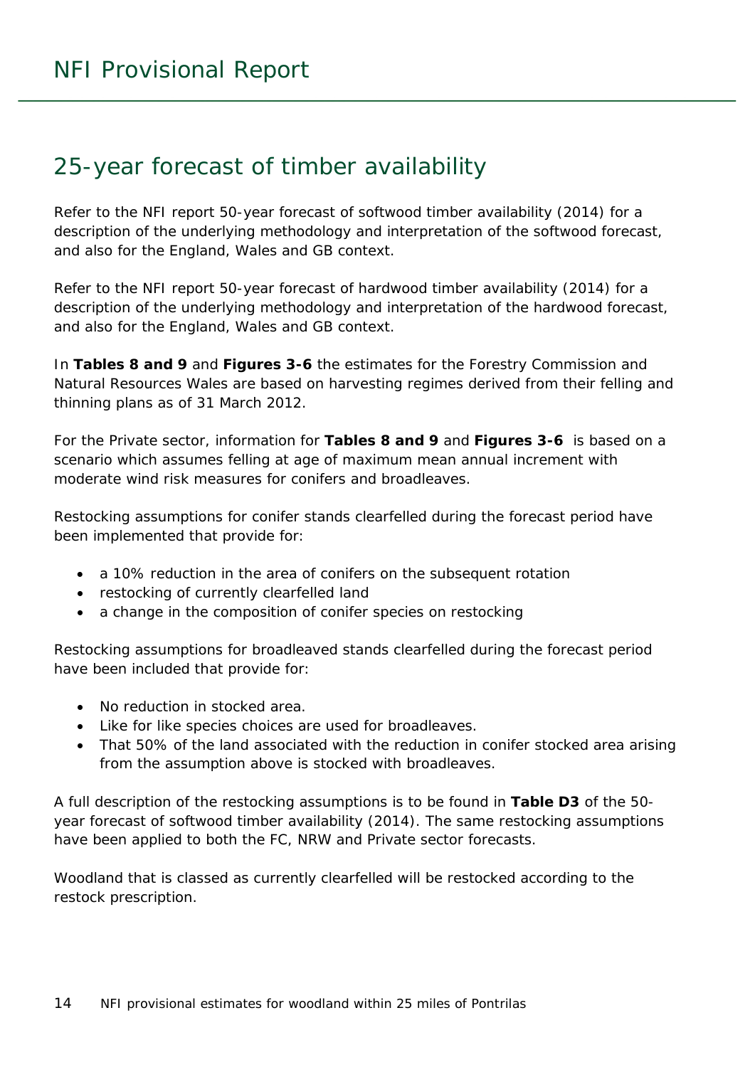### <span id="page-13-0"></span>25-year forecast of timber availability

Refer to the NFI report *50-year forecast of softwood timber availability* (2014) for a description of the underlying methodology and interpretation of the softwood forecast, and also for the England, Wales and GB context.

Refer to the NFI report *50-year forecast of hardwood timber availability* (2014) for a description of the underlying methodology and interpretation of the hardwood forecast, and also for the England, Wales and GB context.

In **Tables 8 and 9** and **Figures 3-6** the estimates for the Forestry Commission and Natural Resources Wales are based on harvesting regimes derived from their felling and thinning plans as of 31 March 2012.

For the Private sector, information for **Tables 8 and 9** and **Figures 3-6** is based on a scenario which assumes felling at age of maximum mean annual increment with moderate wind risk measures for conifers and broadleaves.

Restocking assumptions for conifer stands clearfelled during the forecast period have been implemented that provide for:

- a 10% reduction in the area of conifers on the subsequent rotation
- restocking of currently clearfelled land
- a change in the composition of conifer species on restocking

Restocking assumptions for broadleaved stands clearfelled during the forecast period have been included that provide for:

- No reduction in stocked area.
- Like for like species choices are used for broadleaves.
- That 50% of the land associated with the reduction in conifer stocked area arising from the assumption above is stocked with broadleaves.

A full description of the restocking assumptions is to be found in **Table D3** of the *50 year forecast of softwood timber availability* (2014). The same restocking assumptions have been applied to both the FC, NRW and Private sector forecasts.

Woodland that is classed as currently clearfelled will be restocked according to the restock prescription.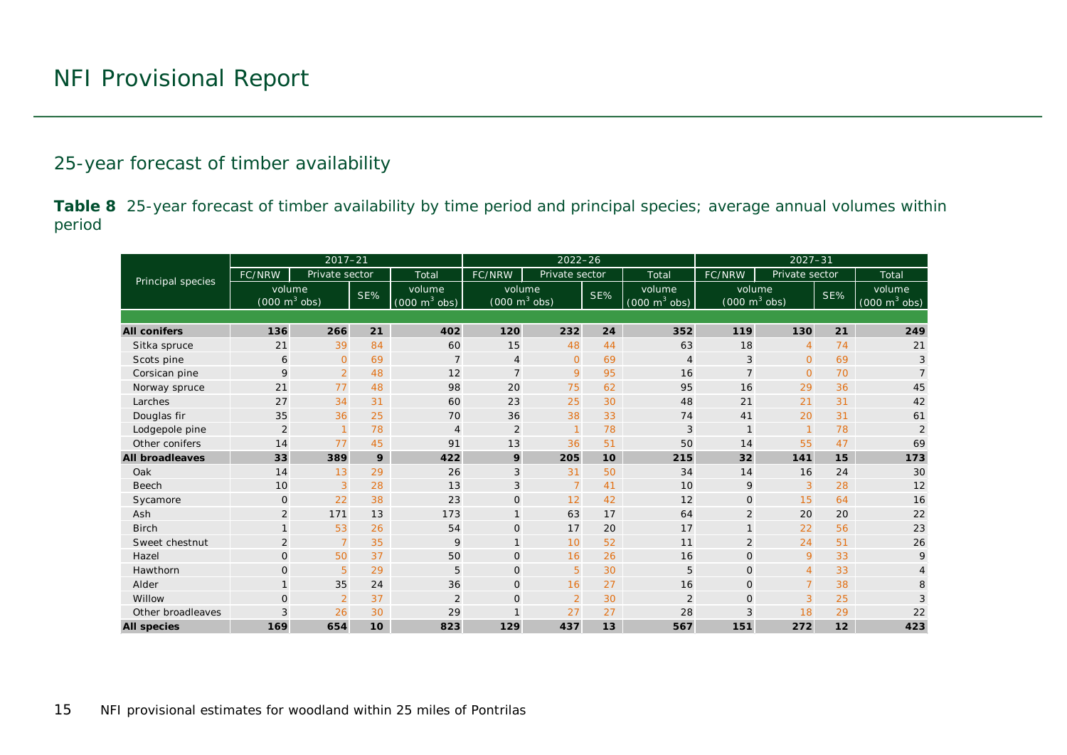#### 25-year forecast of timber availability

**Table 8** 25-year forecast of timber availability by time period and principal species; average annual volumes within period

<span id="page-14-0"></span>

|                        | $2017 - 21$                               |                |     | $2022 - 26$                               |                                           |                 |     | $2027 - 31$                               |                                           |                |     |                                           |
|------------------------|-------------------------------------------|----------------|-----|-------------------------------------------|-------------------------------------------|-----------------|-----|-------------------------------------------|-------------------------------------------|----------------|-----|-------------------------------------------|
|                        | FC/NRW                                    | Private sector |     | Total                                     | FC/NRW                                    | Private sector  |     | Total                                     | FC/NRW                                    | Private sector |     | Total                                     |
| Principal species      | volume<br>$(000 \text{ m}^3 \text{ obs})$ |                | SE% | volume<br>$(000 \text{ m}^3 \text{ obs})$ | volume<br>$(000 \text{ m}^3 \text{ obs})$ |                 | SE% | volume<br>$(000 \text{ m}^3 \text{ obs})$ | volume<br>$(000 \text{ m}^3 \text{ obs})$ |                | SE% | volume<br>$(000 \text{ m}^3 \text{ obs})$ |
|                        |                                           |                |     |                                           |                                           |                 |     |                                           |                                           |                |     |                                           |
| <b>All conifers</b>    | 136                                       | 266            | 21  | 402                                       | 120                                       | 232             | 24  | 352                                       | 119                                       | 130            | 21  | 249                                       |
| Sitka spruce           | 21                                        | 39             | 84  | 60                                        | 15                                        | 48              | 44  | 63                                        | 18                                        | $\overline{4}$ | 74  | 21                                        |
| Scots pine             | 6                                         | $\overline{0}$ | 69  | $\overline{7}$                            | $\overline{4}$                            | $\overline{O}$  | 69  | $\overline{4}$                            | 3                                         | $\overline{O}$ | 69  | 3                                         |
| Corsican pine          | 9                                         | $\overline{2}$ | 48  | 12                                        | $\overline{7}$                            | 9               | 95  | 16                                        | $\overline{7}$                            | $\overline{O}$ | 70  | $\overline{7}$                            |
| Norway spruce          | 21                                        | 77             | 48  | 98                                        | 20                                        | 75              | 62  | 95                                        | 16                                        | 29             | 36  | 45                                        |
| Larches                | 27                                        | 34             | 31  | 60                                        | 23                                        | 25              | 30  | 48                                        | 21                                        | 21             | 31  | 42                                        |
| Douglas fir            | 35                                        | 36             | 25  | 70                                        | 36                                        | 38              | 33  | 74                                        | 41                                        | 20             | 31  | 61                                        |
| Lodgepole pine         | $\overline{2}$                            | $\overline{1}$ | 78  | $\overline{4}$                            | $\overline{2}$                            | $\mathbf{1}$    | 78  | 3                                         |                                           |                | 78  | $\overline{2}$                            |
| Other conifers         | 14                                        | 77             | 45  | 91                                        | 13                                        | 36              | 51  | 50                                        | 14                                        | 55             | 47  | 69                                        |
| <b>All broadleaves</b> | 33                                        | 389            | 9   | 422                                       | 9                                         | 205             | 10  | 215                                       | 32                                        | 141            | 15  | 173                                       |
| Oak                    | 14                                        | 13             | 29  | 26                                        | 3                                         | 31              | 50  | 34                                        | 14                                        | 16             | 24  | 30                                        |
| Beech                  | 10                                        | 3              | 28  | 13                                        | 3                                         | $7\overline{ }$ | 41  | 10                                        | 9                                         | 3              | 28  | 12                                        |
| Sycamore               | $\mathbf 0$                               | 22             | 38  | 23                                        | $\mathbf{O}$                              | 12              | 42  | 12                                        | $\mathsf{O}$                              | 15             | 64  | 16                                        |
| Ash                    | 2                                         | 171            | 13  | 173                                       | $\mathbf{1}$                              | 63              | 17  | 64                                        | $\overline{2}$                            | 20             | 20  | 22                                        |
| <b>Birch</b>           | $\mathbf{1}$                              | 53             | 26  | 54                                        | $\mathbf 0$                               | 17              | 20  | 17                                        | $\mathbf{1}$                              | 22             | 56  | 23                                        |
| Sweet chestnut         | $\overline{2}$                            | $\overline{7}$ | 35  | 9                                         | $\mathbf{1}$                              | 10              | 52  | 11                                        | $\overline{2}$                            | 24             | 51  | 26                                        |
| Hazel                  | $\mathbf{O}$                              | 50             | 37  | 50                                        | $\mathbf 0$                               | 16              | 26  | 16                                        | $\mathsf{O}$                              | 9              | 33  | 9                                         |
| Hawthorn               | $\mathbf{0}$                              | 5 <sup>5</sup> | 29  | 5                                         | $\mathbf{0}$                              | 5               | 30  | 5                                         | $\overline{O}$                            | $\overline{4}$ | 33  | $\overline{4}$                            |
| Alder                  | $\mathbf{1}$                              | 35             | 24  | 36                                        | $\mathbf 0$                               | 16              | 27  | 16                                        | $\mathsf{O}$                              | $\overline{7}$ | 38  | 8                                         |
| Willow                 | $\mathbf{O}$                              | $\overline{2}$ | 37  | $\overline{2}$                            | $\mathbf{0}$                              | $\overline{2}$  | 30  | $\overline{2}$                            | $\Omega$                                  | 3              | 25  | 3                                         |
| Other broadleaves      | 3                                         | 26             | 30  | 29                                        | $\mathbf{1}$                              | 27              | 27  | 28                                        | 3                                         | 18             | 29  | 22                                        |
| <b>All species</b>     | 169                                       | 654            | 10  | 823                                       | 129                                       | 437             | 13  | 567                                       | 151                                       | 272            | 12  | 423                                       |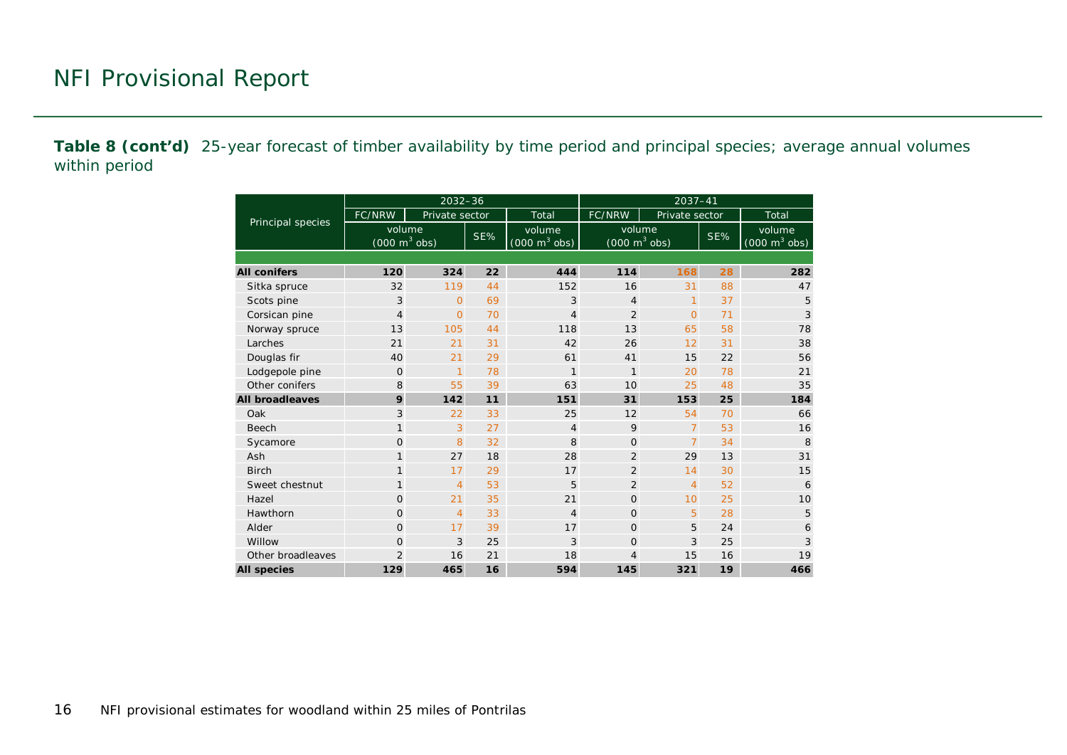**Table 8 (cont'd)** 25-year forecast of timber availability by time period and principal species; average annual volumes within period

|                        |                                           | $2032 - 36$    |       |                                           | $2037 - 41$                               |                |     |                                           |  |  |  |  |
|------------------------|-------------------------------------------|----------------|-------|-------------------------------------------|-------------------------------------------|----------------|-----|-------------------------------------------|--|--|--|--|
|                        | FC/NRW                                    | Private sector | Total |                                           | <b>FC/NRW</b>                             | Private sector |     | Total                                     |  |  |  |  |
| Principal species      | volume<br>$(000 \text{ m}^3 \text{ obs})$ |                | SE%   | volume<br>$(000 \text{ m}^3 \text{ obs})$ | volume<br>$(000 \text{ m}^3 \text{ obs})$ |                | SE% | volume<br>$(000 \text{ m}^3 \text{ obs})$ |  |  |  |  |
|                        |                                           |                |       |                                           |                                           |                |     |                                           |  |  |  |  |
| <b>All conifers</b>    | 120                                       | 324            | 22    | 444                                       | 114                                       | 168            | 28  | 282                                       |  |  |  |  |
| Sitka spruce           | 32                                        | 119            | 44    | 152                                       | 16                                        | 31             | 88  | 47                                        |  |  |  |  |
| Scots pine             | 3                                         | $\overline{O}$ | 69    | 3                                         | $\overline{4}$                            | $\mathbf{1}$   | 37  | 5                                         |  |  |  |  |
| Corsican pine          | $\overline{4}$                            | $\overline{O}$ | 70    | $\overline{4}$                            | $\overline{2}$                            | $\overline{O}$ | 71  | 3                                         |  |  |  |  |
| Norway spruce          |                                           | 105            | 44    | 118                                       | 13                                        | 65             | 58  | 78                                        |  |  |  |  |
| Larches                | 21                                        | 21             | 31    | 42                                        | 26                                        | 12             | 31  | 38                                        |  |  |  |  |
| Douglas fir            | 40                                        | 21             | 29    | 61                                        | 41                                        | 15             | 22  | 56                                        |  |  |  |  |
| Lodgepole pine         | $\Omega$                                  | $\mathbf{1}$   | 78    | $\mathbf{1}$                              | $\mathbf{1}$                              | 20             | 78  | 21                                        |  |  |  |  |
| Other conifers         | 8                                         | 55             | 39    | 63                                        | 10                                        | 25             | 48  | 35                                        |  |  |  |  |
| <b>All broadleaves</b> | 9                                         | 142            | 11    | 151                                       | 31                                        | 153            | 25  | 184                                       |  |  |  |  |
| Oak                    | 3                                         | 22             | 33    | 25                                        | 12                                        | 54             | 70  | 66                                        |  |  |  |  |
| <b>Beech</b>           | $\mathbf{1}$                              | 3              | 27    | $\overline{4}$                            | 9                                         | $\overline{7}$ | 53  | 16                                        |  |  |  |  |
| Sycamore               | $\Omega$                                  | 8              | 32    | 8                                         | $\overline{0}$                            | $\overline{7}$ | 34  | 8                                         |  |  |  |  |
| Ash                    | $\mathbf{1}$                              | 27             | 18    | 28                                        | $\overline{2}$                            | 29             | 13  | 31                                        |  |  |  |  |
| <b>Birch</b>           | $\mathbf{1}$                              | 17             | 29    | 17                                        | $\overline{2}$                            | 14             | 30  | 15                                        |  |  |  |  |
| Sweet chestnut         | 1                                         | $\overline{4}$ | 53    | 5                                         | $\overline{2}$                            | $\overline{4}$ | 52  | 6                                         |  |  |  |  |
| Hazel                  | $\Omega$                                  | 21             | 35    | 21                                        | $\Omega$                                  | 10             | 25  | 10                                        |  |  |  |  |
| Hawthorn               | $\Omega$                                  | 4              | 33    | $\overline{4}$                            | $\Omega$                                  | 5              | 28  | 5                                         |  |  |  |  |
| Alder                  | $\Omega$                                  | 17             | 39    | 17                                        | $\Omega$                                  | 5              | 24  | 6                                         |  |  |  |  |
| Willow                 | $\Omega$                                  | 3              | 25    | 3                                         | $\Omega$                                  | 3              | 25  | 3                                         |  |  |  |  |
| Other broadleaves      | $\overline{2}$                            | 16             | 21    | 18                                        | 4                                         | 15             | 16  | 19                                        |  |  |  |  |
| <b>All species</b>     | 129                                       | 465            | 16    | 594                                       | 145                                       | 321            | 19  | 466                                       |  |  |  |  |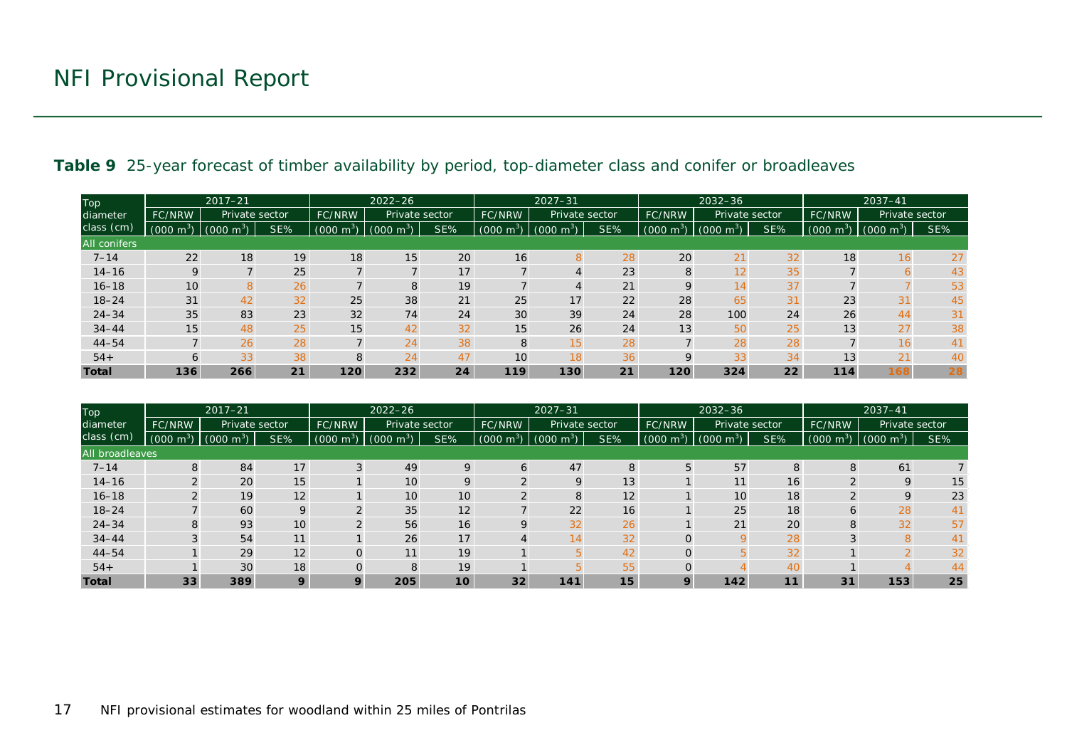| Top                 | $2017 - 21$                     |                        |                          | $2022 - 26$    |                     |                | $2027 - 31$       |                       |                | $2032 - 36$         |                        |                | $2037 - 41$           |                       |     |
|---------------------|---------------------------------|------------------------|--------------------------|----------------|---------------------|----------------|-------------------|-----------------------|----------------|---------------------|------------------------|----------------|-----------------------|-----------------------|-----|
| diameter            | Private sector<br><b>FC/NRW</b> |                        | FC/NRW<br>Private sector |                | FC/NRW              | Private sector |                   | FC/NRW                | Private sector |                     | <b>FC/NRW</b>          | Private sector |                       |                       |     |
| class (cm)          | $(000 \text{ m}^3)$             | m <sup>3</sup><br>(000 | SE%                      | $m^3$<br>(000) | $(000 \text{ m}^3)$ | SE%            | $-m^{3}$<br>(000) | m <sup>3</sup><br>000 | SE%            | $(000 \text{ m}^3)$ | m <sup>3</sup><br>(000 | SE%            | m <sup>3</sup><br>000 | $(000 \; \text{m}^3)$ | SE% |
| <b>All conifers</b> |                                 |                        |                          |                |                     |                |                   |                       |                |                     |                        |                |                       |                       |     |
| $7 - 14$            | 22                              | 18                     | 19                       | 18             | 15                  | 20             | 16                | 8                     | 28             | 20                  | 21                     | 32             | 18                    | 16                    | 27  |
| $14 - 16$           | $\mathsf{Q}$                    | $\overline{7}$         | 25                       |                |                     | 17             |                   | 4                     | 23             | 8                   | 12                     | 35             |                       | 6                     | 43  |
| $16 - 18$           | 10 <sub>1</sub>                 | 8                      | 26                       |                | 8                   | 19             |                   | $\overline{4}$        | 21             | 9                   | 14                     | 37             |                       |                       | 53  |
| $18 - 24$           | 31                              | 42                     | 32                       | 25             | 38                  | 21             | 25                | 17                    | 22             | 28                  | 65                     | 31             | 23                    | 31                    | 45  |
| $24 - 34$           | 35                              | 83                     | 23                       | 32             | 74                  | 24             | 30                | 39                    | 24             | 28                  | 100                    | 24             | 26                    | 44                    | 31  |
| $34 - 44$           | 15                              | 48                     | 25                       | 15             | 42                  | 32             | 15                | 26                    | 24             | 13                  | 50                     | 25             | 13                    | 27                    | 38  |
| $44 - 54$           |                                 | 26                     | 28                       |                | 24                  | 38             | 8                 | 15                    | 28             |                     | 28                     | 28             |                       | 16                    | 41  |
| $54+$               | 6                               | 33                     | 38                       | 8              | 24                  | 47             | 10                | 18                    | 36             | Q                   | 33                     | 34             | 13                    | 21                    | 40  |
| <b>Total</b>        | 136                             | 266                    | 21                       | 120            | 232                 | 24             | 119               | 130                   | 21             | 120                 | 324                    | 22             | 114                   | 168                   | 28  |

#### **Table 9** 25-year forecast of timber availability by period, top-diameter class and conifer or broadleaves

<span id="page-16-0"></span>

| Top<br>diameter<br>class (cm) | $2017 - 21$         |                     |     | $2022 - 26$              |                     |        | $2027 - 31$         |                     |        | $2032 - 36$         |                     |               | $2037 - 41$           |                       |     |
|-------------------------------|---------------------|---------------------|-----|--------------------------|---------------------|--------|---------------------|---------------------|--------|---------------------|---------------------|---------------|-----------------------|-----------------------|-----|
|                               | FC/NRW              | Private sector      |     | Private sector<br>FC/NRW |                     | FC/NRW | Private sector      |                     | FC/NRW | Private sector      |                     | <b>FC/NRW</b> | Private sector        |                       |     |
|                               | $(000 \text{ m}^3)$ | $(000 \text{ m}^3)$ | SE% | $(000 \text{ m}^3)$      | $(000 \text{ m}^3)$ | SE%    | $(000 \text{ m}^3)$ | $(000 \text{ m}^3)$ | SE%    | $(000 \text{ m}^3)$ | $(000 \text{ m}^3)$ | SE%           | $(000 \; \text{m}^3)$ | $(000 \; \text{m}^3)$ | SE% |
| <b>All broadleaves</b>        |                     |                     |     |                          |                     |        |                     |                     |        |                     |                     |               |                       |                       |     |
| $7 - 14$                      | 8                   | 84                  | 17  |                          | 49                  | 9      | 6                   | 47                  | 8      | 5                   | 57                  | 8             | 8                     | 61                    |     |
| $14 - 16$                     |                     | 20                  | 15  |                          | 10                  | 9      |                     | 9                   | 13     |                     | 11                  | 16            |                       | 9                     | 15  |
| $16 - 18$                     |                     | 19                  | 12  |                          | 10                  | 10     |                     | 8                   | 12     |                     | 10                  | 18            |                       | q                     | 23  |
| $18 - 24$                     |                     | 60                  | 9   | $\sim$                   | 35                  | 12     |                     | 22                  | 16     |                     | 25                  | 18            | Ò                     | 28                    | 41  |
| $24 - 34$                     | 8                   | 93                  | 10  |                          | 56                  | 16     |                     | 32                  | 26     |                     | 21                  | 20            | 8                     | 32                    | 57  |
| $34 - 44$                     |                     | 54                  | 11  |                          | 26                  | 17     |                     | 14                  | 32     |                     |                     | 28            |                       |                       | 41  |
| $44 - 54$                     |                     | 29                  | 12  |                          | 11                  | 19     |                     |                     | 42     |                     |                     | 32            |                       |                       | 32  |
| $54+$                         |                     | 30                  | 18  |                          | 8                   | 19     |                     |                     | 55     |                     |                     | 40            |                       |                       | 44  |
| <b>Total</b>                  | 33                  | 389                 | 9   |                          | 205                 | 10     | 32                  | 141                 | 15     | $\mathbf Q$         | 142                 | 11            | 31                    | 153                   | 25  |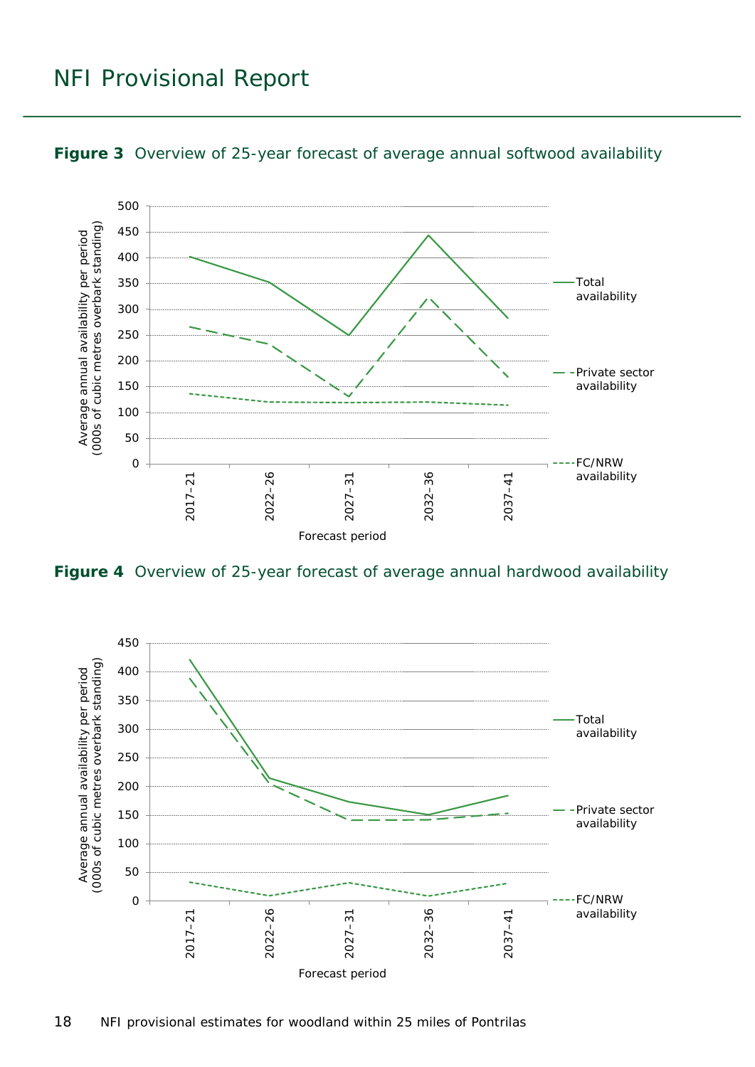### NFI Provisional Report



<span id="page-17-0"></span>

<span id="page-17-1"></span>**Figure 4** Overview of 25-year forecast of average annual hardwood availability

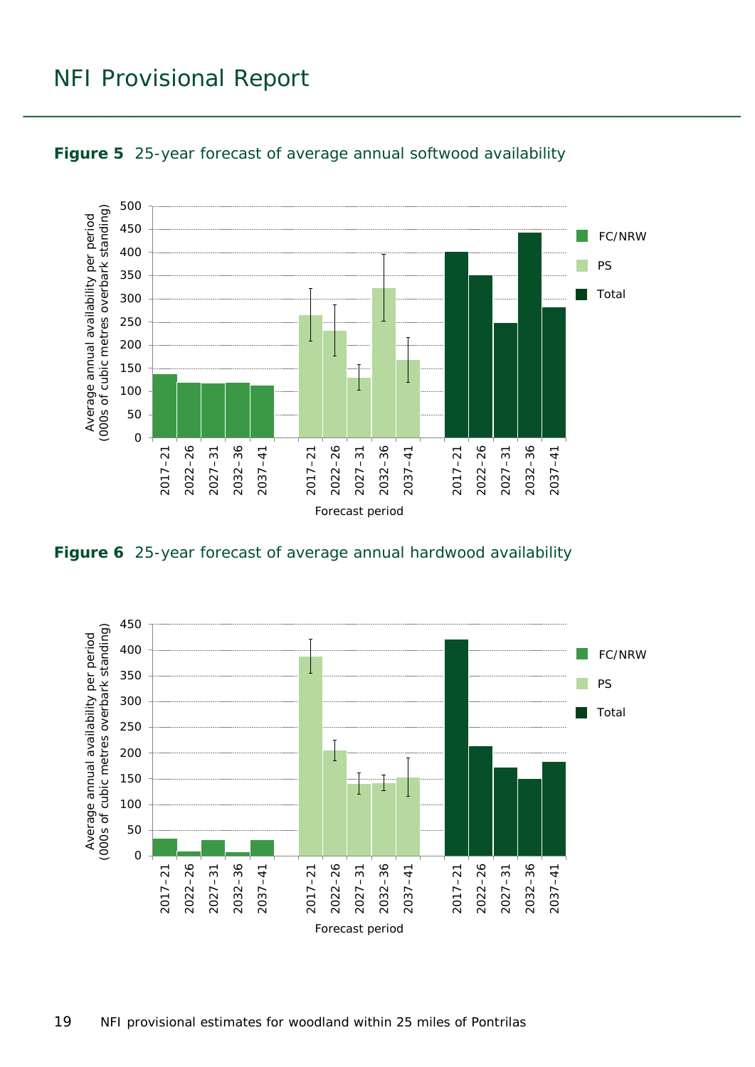### NFI Provisional Report



<span id="page-18-0"></span>

<span id="page-18-1"></span>**Figure 6** 25-year forecast of average annual hardwood availability